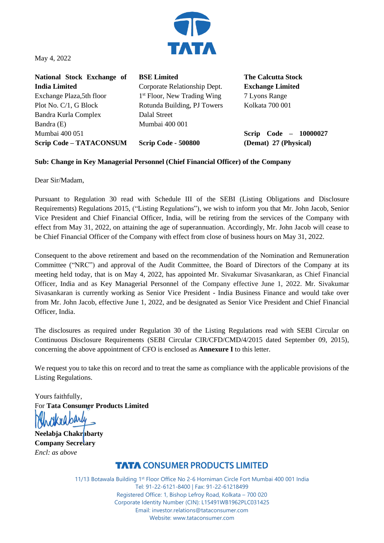

May 4, 2022

**National Stock Exchange of India Limited**  Exchange Plaza,5th floor Plot No. C/1, G Block Bandra Kurla Complex Bandra (E) Mumbai 400 051 **Scrip Code – TATACONSUM**

**BSE Limited**  Corporate Relationship Dept. 1<sup>st</sup> Floor, New Trading Wing Rotunda Building, PJ Towers Dalal Street Mumbai 400 001

**Scrip Code - 500800**

**The Calcutta Stock Exchange Limited** 7 Lyons Range Kolkata 700 001

**Scrip Code – 10000027 (Demat) 27 (Physical)**

## **Sub: Change in Key Managerial Personnel (Chief Financial Officer) of the Company**

Dear Sir/Madam,

Pursuant to Regulation 30 read with Schedule III of the SEBI (Listing Obligations and Disclosure Requirements) Regulations 2015, ("Listing Regulations"), we wish to inform you that Mr. John Jacob, Senior Vice President and Chief Financial Officer, India, will be retiring from the services of the Company with effect from May 31, 2022, on attaining the age of superannuation. Accordingly, Mr. John Jacob will cease to be Chief Financial Officer of the Company with effect from close of business hours on May 31, 2022.

Consequent to the above retirement and based on the recommendation of the Nomination and Remuneration Committee ("NRC") and approval of the Audit Committee, the Board of Directors of the Company at its meeting held today, that is on May 4, 2022, has appointed Mr. Sivakumar Sivasankaran, as Chief Financial Officer, India and as Key Managerial Personnel of the Company effective June 1, 2022. Mr. Sivakumar Sivasankaran is currently working as Senior Vice President - India Business Finance and would take over from Mr. John Jacob, effective June 1, 2022, and be designated as Senior Vice President and Chief Financial Officer, India.

The disclosures as required under Regulation 30 of the Listing Regulations read with SEBI Circular on Continuous Disclosure Requirements (SEBI Circular CIR/CFD/CMD/4/2015 dated September 09, 2015), concerning the above appointment of CFO is enclosed as **Annexure I** to this letter.

We request you to take this on record and to treat the same as compliance with the applicable provisions of the Listing Regulations.

Yours faithfully, For **Tata Consumer Products Limited**

**Neelabja Chakrabarty Company Secretary** *Encl: as above*

## **TATA CONSUMER PRODUCTS LIMITED**

11/13 Botawala Building 1st Floor Office No 2-6 Horniman Circle Fort Mumbai 400 001 India Tel: 91-22-6121-8400 | Fax: 91-22-61218499 Registered Office: 1, Bishop Lefroy Road, Kolkata – 700 020 Corporate Identity Number (CIN): L15491WB1962PLC031425 Email: investor.relations@tataconsumer.com Website: www.tataconsumer.com